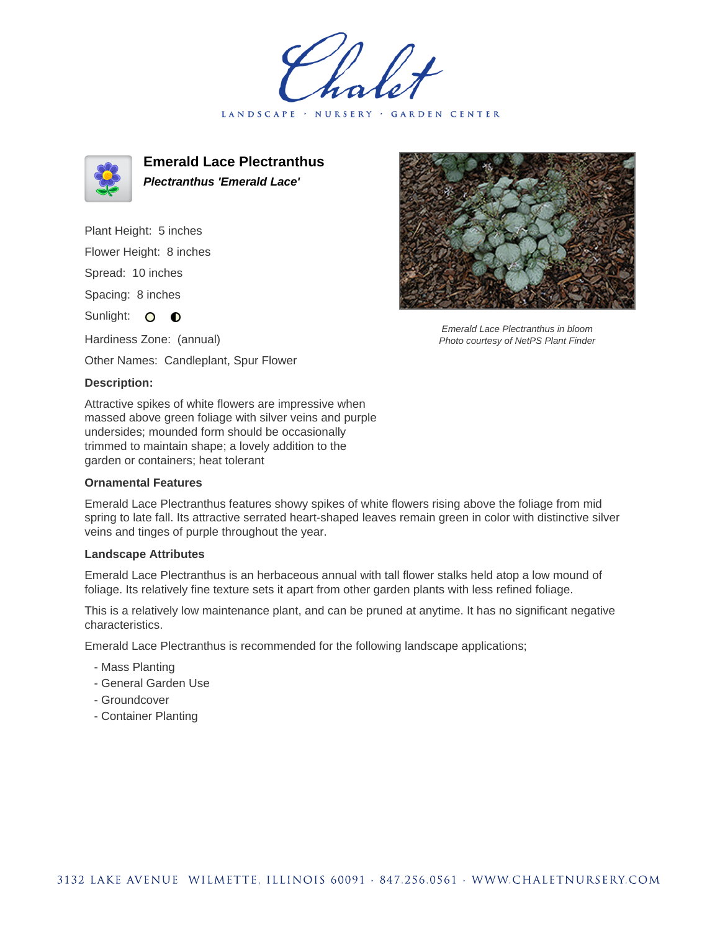holet LANDSCAPE · NURSERY · GARDEN CENTER



**Emerald Lace Plectranthus Plectranthus 'Emerald Lace'**

Plant Height: 5 inches Flower Height: 8 inches Spread: 10 inches

Spacing: 8 inches

Sunlight: O **O** 

Hardiness Zone: (annual)

Other Names: Candleplant, Spur Flower

## **Description:**

Attractive spikes of white flowers are impressive when massed above green foliage with silver veins and purple undersides; mounded form should be occasionally trimmed to maintain shape; a lovely addition to the garden or containers; heat tolerant

## **Ornamental Features**

Emerald Lace Plectranthus features showy spikes of white flowers rising above the foliage from mid spring to late fall. Its attractive serrated heart-shaped leaves remain green in color with distinctive silver veins and tinges of purple throughout the year.

## **Landscape Attributes**

Emerald Lace Plectranthus is an herbaceous annual with tall flower stalks held atop a low mound of foliage. Its relatively fine texture sets it apart from other garden plants with less refined foliage.

This is a relatively low maintenance plant, and can be pruned at anytime. It has no significant negative characteristics.

Emerald Lace Plectranthus is recommended for the following landscape applications;

- Mass Planting
- General Garden Use
- Groundcover
- Container Planting



Emerald Lace Plectranthus in bloom Photo courtesy of NetPS Plant Finder